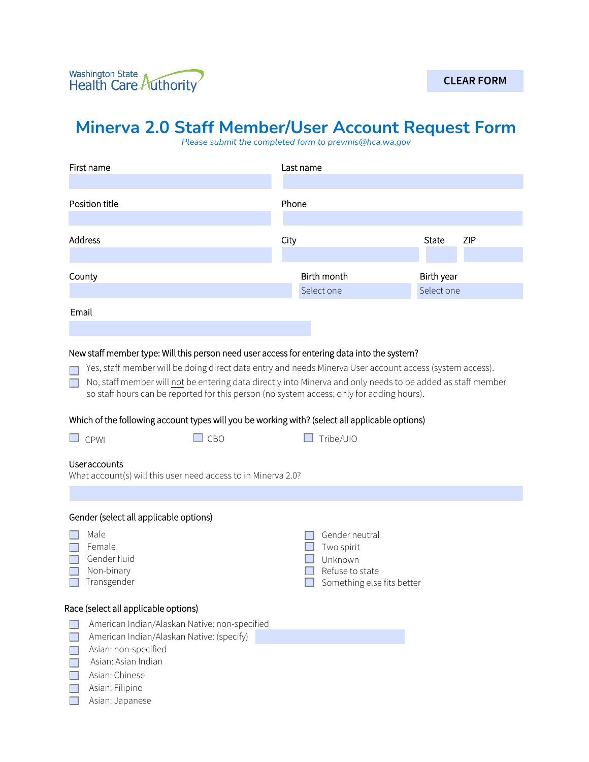## **Minerva 2.0 Staff Member/User Account Request Form**

*Please submit the completed form to prevmis@hca.wa.gov* 

| First name                                                                                                                                                                                                                                                                                                                                                                                                                                                                                                                                                                                                                                    | Last name                                                                                |                     |
|-----------------------------------------------------------------------------------------------------------------------------------------------------------------------------------------------------------------------------------------------------------------------------------------------------------------------------------------------------------------------------------------------------------------------------------------------------------------------------------------------------------------------------------------------------------------------------------------------------------------------------------------------|------------------------------------------------------------------------------------------|---------------------|
| Position title                                                                                                                                                                                                                                                                                                                                                                                                                                                                                                                                                                                                                                | Phone                                                                                    |                     |
| Address                                                                                                                                                                                                                                                                                                                                                                                                                                                                                                                                                                                                                                       | City                                                                                     | ZIP<br><b>State</b> |
| County                                                                                                                                                                                                                                                                                                                                                                                                                                                                                                                                                                                                                                        | Birth month                                                                              | Birth year          |
| Email                                                                                                                                                                                                                                                                                                                                                                                                                                                                                                                                                                                                                                         | Select one                                                                               | Select one          |
| New staff member type: Will this person need user access for entering data into the system?<br>Yes, staff member will be doing direct data entry and needs Minerva User account access (system access).<br>No, staff member will not be entering data directly into Minerva and only needs to be added as staff member<br>so staff hours can be reported for this person (no system access; only for adding hours).<br>Which of the following account types will you be working with? (select all applicable options)<br>$\Box$ CPWI<br>$\square$ CBO<br><b>Useraccounts</b><br>What account(s) will this user need access to in Minerva 2.0? | Tribe/UIO                                                                                |                     |
|                                                                                                                                                                                                                                                                                                                                                                                                                                                                                                                                                                                                                                               |                                                                                          |                     |
| Gender (select all applicable options)<br>Male<br>Female<br>Gender fluid<br>Non-binary<br>Transgender                                                                                                                                                                                                                                                                                                                                                                                                                                                                                                                                         | Gender neutral<br>Two spirit<br>Unknown<br>Refuse to state<br>Something else fits better |                     |
| Race (select all applicable options)<br>American Indian/Alaskan Native: non-specified<br>American Indian/Alaskan Native: (specify)<br>Asian: non-specified<br>Asian: Asian Indian<br>Asian: Chinese<br>Asian: Filipino<br>Asian: Japanese                                                                                                                                                                                                                                                                                                                                                                                                     |                                                                                          |                     |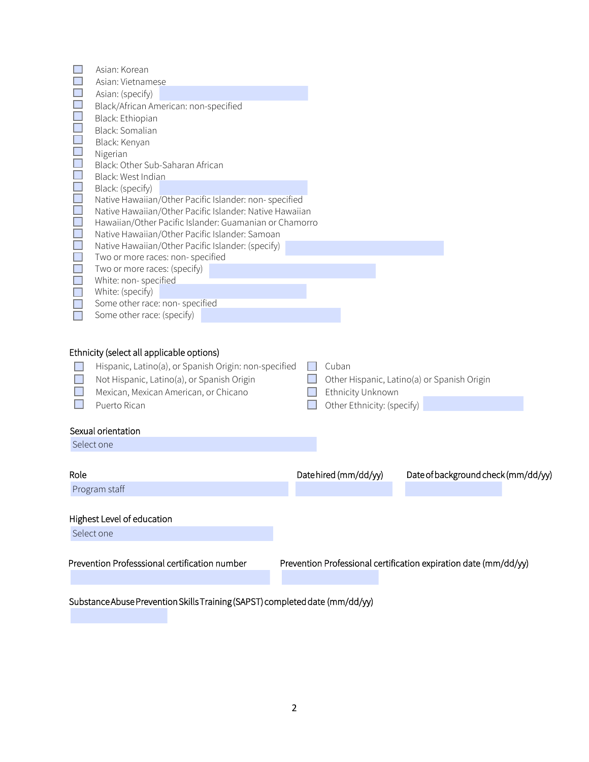|                | Asian: Korean                                                                                                                                                                                             |                                                          |                                                                  |  |
|----------------|-----------------------------------------------------------------------------------------------------------------------------------------------------------------------------------------------------------|----------------------------------------------------------|------------------------------------------------------------------|--|
|                | Asian: Vietnamese                                                                                                                                                                                         |                                                          |                                                                  |  |
|                | Asian: (specify)                                                                                                                                                                                          |                                                          |                                                                  |  |
|                | Black/African American: non-specified                                                                                                                                                                     |                                                          |                                                                  |  |
|                | Black: Ethiopian                                                                                                                                                                                          |                                                          |                                                                  |  |
|                | Black: Somalian                                                                                                                                                                                           |                                                          |                                                                  |  |
|                | Black: Kenyan                                                                                                                                                                                             |                                                          |                                                                  |  |
|                | Nigerian                                                                                                                                                                                                  |                                                          |                                                                  |  |
|                | Black: Other Sub-Saharan African                                                                                                                                                                          |                                                          |                                                                  |  |
| u u            | Black: West Indian                                                                                                                                                                                        |                                                          |                                                                  |  |
|                | Black: (specify)                                                                                                                                                                                          |                                                          |                                                                  |  |
| i<br>I         | Native Hawaiian/Other Pacific Islander: non-specified                                                                                                                                                     |                                                          |                                                                  |  |
|                | Native Hawaiian/Other Pacific Islander: Native Hawaiian                                                                                                                                                   |                                                          |                                                                  |  |
| $\blacksquare$ | Hawaiian/Other Pacific Islander: Guamanian or Chamorro                                                                                                                                                    |                                                          |                                                                  |  |
| $\blacksquare$ | Native Hawaiian/Other Pacific Islander: Samoan                                                                                                                                                            |                                                          |                                                                  |  |
| $\blacksquare$ | Native Hawaiian/Other Pacific Islander: (specify)                                                                                                                                                         |                                                          |                                                                  |  |
| $\blacksquare$ | Two or more races: non- specified                                                                                                                                                                         |                                                          |                                                                  |  |
| $\blacksquare$ | Two or more races: (specify)                                                                                                                                                                              |                                                          |                                                                  |  |
| $\blacksquare$ | White: non-specified                                                                                                                                                                                      |                                                          |                                                                  |  |
|                | White: (specify)                                                                                                                                                                                          |                                                          |                                                                  |  |
|                | Some other race: non- specified                                                                                                                                                                           |                                                          |                                                                  |  |
|                | Some other race: (specify)                                                                                                                                                                                |                                                          |                                                                  |  |
|                | Ethnicity (select all applicable options)<br>Hispanic, Latino(a), or Spanish Origin: non-specified<br>Not Hispanic, Latino(a), or Spanish Origin<br>Mexican, Mexican American, or Chicano<br>Puerto Rican | Cuban<br>Ethnicity Unknown<br>Other Ethnicity: (specify) | Other Hispanic, Latino(a) or Spanish Origin                      |  |
|                | Sexual orientation                                                                                                                                                                                        |                                                          |                                                                  |  |
| Select one     |                                                                                                                                                                                                           |                                                          |                                                                  |  |
|                |                                                                                                                                                                                                           |                                                          |                                                                  |  |
| Role           |                                                                                                                                                                                                           | Datehired (mm/dd/yy)                                     | Date of background check (mm/dd/yy)                              |  |
|                | Program staff                                                                                                                                                                                             |                                                          |                                                                  |  |
|                |                                                                                                                                                                                                           |                                                          |                                                                  |  |
|                | Highest Level of education                                                                                                                                                                                |                                                          |                                                                  |  |
| Select one     |                                                                                                                                                                                                           |                                                          |                                                                  |  |
|                |                                                                                                                                                                                                           |                                                          |                                                                  |  |
|                | Prevention Professsional certification number                                                                                                                                                             |                                                          | Prevention Professional certification expiration date (mm/dd/yy) |  |
|                | Substance Abuse Prevention Skills Training (SAPST) completed date (mm/dd/yy)                                                                                                                              |                                                          |                                                                  |  |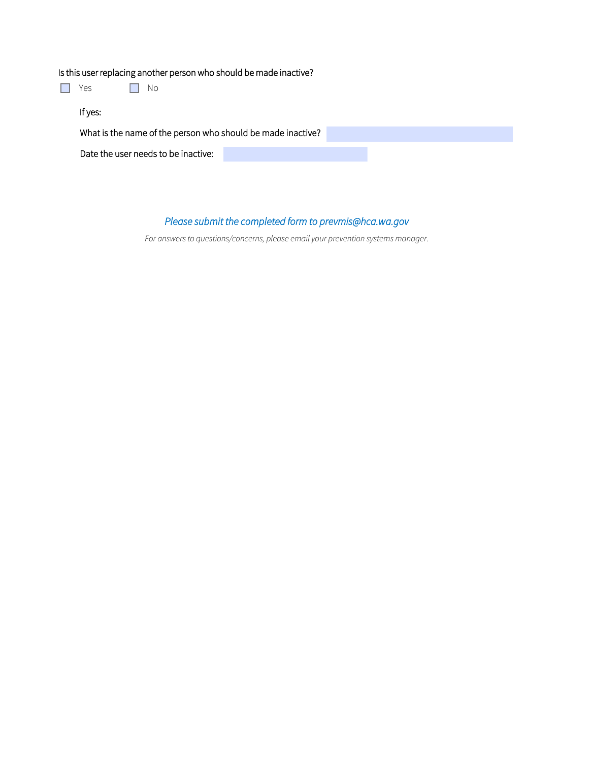## Is this user replacing another person who should be made inactive?

| Yes     | Νo                                                          |  |  |  |
|---------|-------------------------------------------------------------|--|--|--|
| If yes: |                                                             |  |  |  |
|         | What is the name of the person who should be made inactive? |  |  |  |
|         | Date the user needs to be inactive:                         |  |  |  |
|         |                                                             |  |  |  |

## *Please submit the completed form to prevmis@hca.wa.gov*

*For answers to questions/concerns, please email your prevention systems manager.*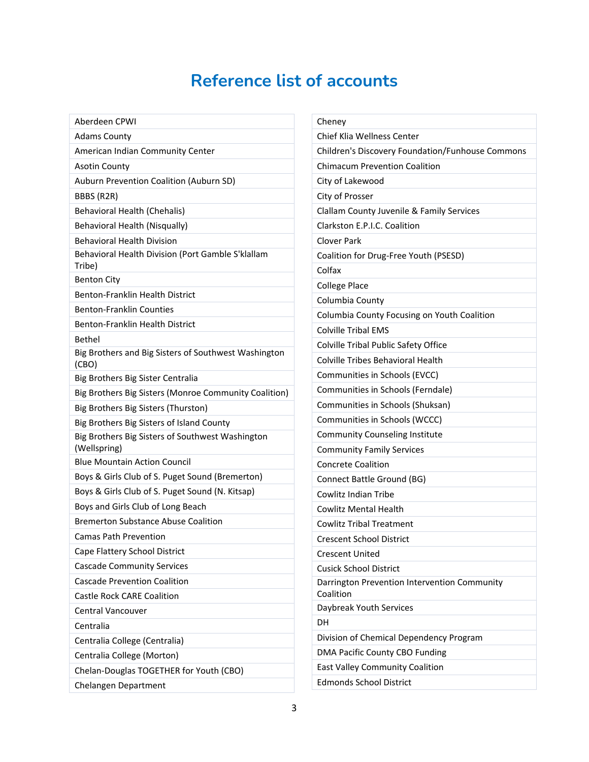## **Reference list of accounts**

Ī.

| Aberdeen CPWI                                                    |
|------------------------------------------------------------------|
| <b>Adams County</b>                                              |
| American Indian Community Center                                 |
| <b>Asotin County</b>                                             |
| Auburn Prevention Coalition (Auburn SD)                          |
| BBBS (R2R)                                                       |
| Behavioral Health (Chehalis)                                     |
| Behavioral Health (Nisqually)                                    |
| <b>Behavioral Health Division</b>                                |
| Behavioral Health Division (Port Gamble S'klallam<br>Tribe)      |
| <b>Benton City</b>                                               |
| Benton-Franklin Health District                                  |
| <b>Benton-Franklin Counties</b>                                  |
| Benton-Franklin Health District                                  |
| <b>Bethel</b>                                                    |
| Big Brothers and Big Sisters of Southwest Washington<br>(CBO)    |
| Big Brothers Big Sister Centralia                                |
| Big Brothers Big Sisters (Monroe Community Coalition)            |
| Big Brothers Big Sisters (Thurston)                              |
| Big Brothers Big Sisters of Island County                        |
| Big Brothers Big Sisters of Southwest Washington<br>(Wellspring) |
| <b>Blue Mountain Action Council</b>                              |
| Boys & Girls Club of S. Puget Sound (Bremerton)                  |
| Boys & Girls Club of S. Puget Sound (N. Kitsap)                  |
| Boys and Girls Club of Long Beach                                |
| <b>Bremerton Substance Abuse Coalition</b>                       |
| <b>Camas Path Prevention</b>                                     |
| Cape Flattery School District                                    |
| <b>Cascade Community Services</b>                                |
| <b>Cascade Prevention Coalition</b>                              |
| <b>Castle Rock CARE Coalition</b>                                |
| Central Vancouver                                                |
| Centralia                                                        |
| Centralia College (Centralia)                                    |
| Centralia College (Morton)                                       |
| Chelan-Douglas TOGETHER for Youth (CBO)                          |
| Chelangen Department                                             |

| Cheney                                                    |
|-----------------------------------------------------------|
| Chief Klia Wellness Center                                |
| Children's Discovery Foundation/Funhouse Commons          |
| <b>Chimacum Prevention Coalition</b>                      |
| City of Lakewood                                          |
| City of Prosser                                           |
| Clallam County Juvenile & Family Services                 |
| Clarkston E.P.I.C. Coalition                              |
| <b>Clover Park</b>                                        |
| Coalition for Drug-Free Youth (PSESD)                     |
| Colfax                                                    |
| <b>College Place</b>                                      |
| Columbia County                                           |
| Columbia County Focusing on Youth Coalition               |
| <b>Colville Tribal EMS</b>                                |
| Colville Tribal Public Safety Office                      |
| Colville Tribes Behavioral Health                         |
| Communities in Schools (EVCC)                             |
| Communities in Schools (Ferndale)                         |
| Communities in Schools (Shuksan)                          |
| Communities in Schools (WCCC)                             |
| Community Counseling Institute                            |
| <b>Community Family Services</b>                          |
| <b>Concrete Coalition</b>                                 |
| Connect Battle Ground (BG)                                |
| Cowlitz Indian Tribe                                      |
| <b>Cowlitz Mental Health</b>                              |
| <b>Cowlitz Tribal Treatment</b>                           |
| <b>Crescent School District</b>                           |
| Crescent United                                           |
| <b>Cusick School District</b>                             |
| Darrington Prevention Intervention Community<br>Coalition |
| Daybreak Youth Services                                   |
| DН                                                        |
| Division of Chemical Dependency Program                   |
| DMA Pacific County CBO Funding                            |
| <b>East Valley Community Coalition</b>                    |
| <b>Edmonds School District</b>                            |
|                                                           |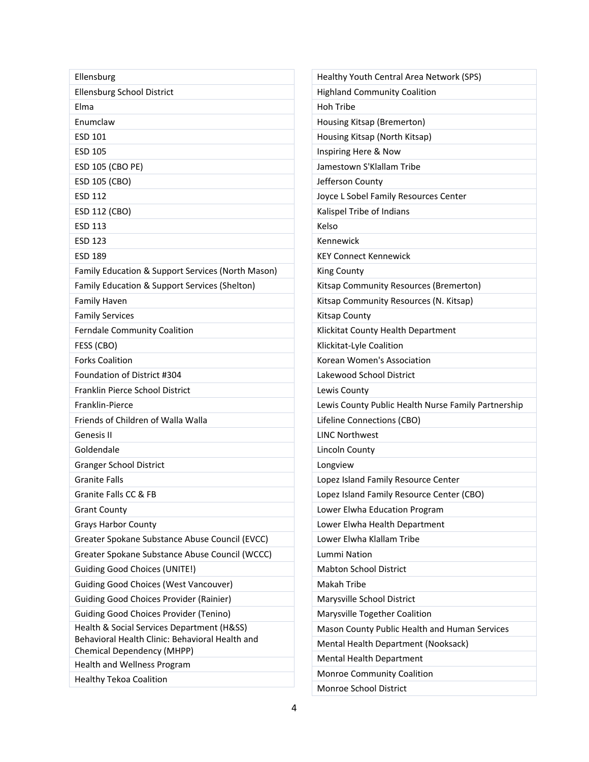| Ellensburg                                                                    | Healthy Youth Central Area Network (SPS)            |
|-------------------------------------------------------------------------------|-----------------------------------------------------|
| Ellensburg School District                                                    | <b>Highland Community Coalition</b>                 |
| Elma                                                                          | <b>Hoh Tribe</b>                                    |
| Enumclaw                                                                      | Housing Kitsap (Bremerton)                          |
| <b>ESD 101</b>                                                                | Housing Kitsap (North Kitsap)                       |
| ESD 105                                                                       | Inspiring Here & Now                                |
| <b>ESD 105 (CBO PE)</b>                                                       | Jamestown S'Klallam Tribe                           |
| ESD 105 (CBO)                                                                 | Jefferson County                                    |
| <b>ESD 112</b>                                                                | Joyce L Sobel Family Resources Center               |
| ESD 112 (CBO)                                                                 | Kalispel Tribe of Indians                           |
| <b>ESD 113</b>                                                                | Kelso                                               |
| <b>ESD 123</b>                                                                | Kennewick                                           |
| <b>ESD 189</b>                                                                | <b>KEY Connect Kennewick</b>                        |
| Family Education & Support Services (North Mason)                             | <b>King County</b>                                  |
| Family Education & Support Services (Shelton)                                 | Kitsap Community Resources (Bremerton)              |
| Family Haven                                                                  | Kitsap Community Resources (N. Kitsap)              |
| <b>Family Services</b>                                                        | <b>Kitsap County</b>                                |
| <b>Ferndale Community Coalition</b>                                           | Klickitat County Health Department                  |
| FESS (CBO)                                                                    | Klickitat-Lyle Coalition                            |
| <b>Forks Coalition</b>                                                        | Korean Women's Association                          |
| Foundation of District #304                                                   | Lakewood School District                            |
| Franklin Pierce School District                                               | Lewis County                                        |
| Franklin-Pierce                                                               | Lewis County Public Health Nurse Family Partnership |
| Friends of Children of Walla Walla                                            | Lifeline Connections (CBO)                          |
| Genesis II                                                                    | <b>LINC Northwest</b>                               |
| Goldendale                                                                    | Lincoln County                                      |
| <b>Granger School District</b>                                                | Longview                                            |
| <b>Granite Falls</b>                                                          | Lopez Island Family Resource Center                 |
| Granite Falls CC & FB                                                         | Lopez Island Family Resource Center (CBO)           |
| <b>Grant County</b>                                                           | Lower Elwha Education Program                       |
| <b>Grays Harbor County</b>                                                    | Lower Elwha Health Department                       |
| Greater Spokane Substance Abuse Council (EVCC)                                | Lower Elwha Klallam Tribe                           |
| Greater Spokane Substance Abuse Council (WCCC)                                | Lummi Nation                                        |
| <b>Guiding Good Choices (UNITE!)</b>                                          | <b>Mabton School District</b>                       |
| <b>Guiding Good Choices (West Vancouver)</b>                                  | Makah Tribe                                         |
| <b>Guiding Good Choices Provider (Rainier)</b>                                | Marysville School District                          |
| <b>Guiding Good Choices Provider (Tenino)</b>                                 | Marysville Together Coalition                       |
| Health & Social Services Department (H&SS)                                    | Mason County Public Health and Human Services       |
| Behavioral Health Clinic: Behavioral Health and<br>Chemical Dependency (MHPP) | Mental Health Department (Nooksack)                 |
| Health and Wellness Program                                                   | Mental Health Department                            |
| <b>Healthy Tekoa Coalition</b>                                                | Monroe Community Coalition                          |
|                                                                               | Monroe School District                              |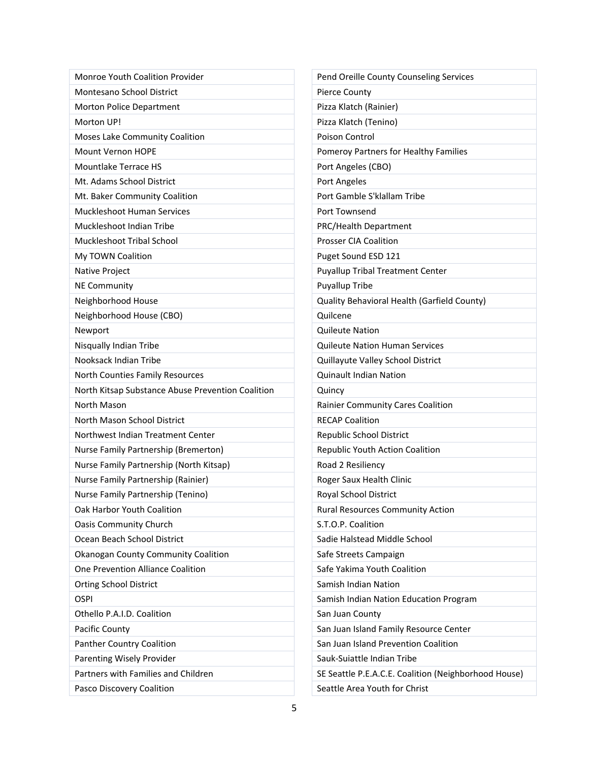| Monroe Youth Coalition Provider                   | Pend Oreille County Counseling Services              |
|---------------------------------------------------|------------------------------------------------------|
| Montesano School District                         | Pierce County                                        |
| Morton Police Department                          | Pizza Klatch (Rainier)                               |
| Morton UP!                                        | Pizza Klatch (Tenino)                                |
| Moses Lake Community Coalition                    | <b>Poison Control</b>                                |
| <b>Mount Vernon HOPE</b>                          | Pomeroy Partners for Healthy Families                |
| <b>Mountlake Terrace HS</b>                       | Port Angeles (CBO)                                   |
| Mt. Adams School District                         | Port Angeles                                         |
| Mt. Baker Community Coalition                     | Port Gamble S'klallam Tribe                          |
| Muckleshoot Human Services                        | Port Townsend                                        |
| Muckleshoot Indian Tribe                          | PRC/Health Department                                |
| Muckleshoot Tribal School                         | <b>Prosser CIA Coalition</b>                         |
| My TOWN Coalition                                 | Puget Sound ESD 121                                  |
| Native Project                                    | <b>Puyallup Tribal Treatment Center</b>              |
| <b>NE Community</b>                               | Puyallup Tribe                                       |
| Neighborhood House                                | Quality Behavioral Health (Garfield County)          |
| Neighborhood House (CBO)                          | Quilcene                                             |
| Newport                                           | <b>Quileute Nation</b>                               |
| Nisqually Indian Tribe                            | <b>Quileute Nation Human Services</b>                |
| Nooksack Indian Tribe                             | Quillayute Valley School District                    |
| North Counties Family Resources                   | <b>Quinault Indian Nation</b>                        |
| North Kitsap Substance Abuse Prevention Coalition | Quincy                                               |
| North Mason                                       | Rainier Community Cares Coalition                    |
| North Mason School District                       | <b>RECAP Coalition</b>                               |
| Northwest Indian Treatment Center                 | Republic School District                             |
| Nurse Family Partnership (Bremerton)              | Republic Youth Action Coalition                      |
| Nurse Family Partnership (North Kitsap)           | Road 2 Resiliency                                    |
| Nurse Family Partnership (Rainier)                | Roger Saux Health Clinic                             |
| Nurse Family Partnership (Tenino)                 | Royal School District                                |
| Oak Harbor Youth Coalition                        | <b>Rural Resources Community Action</b>              |
| <b>Oasis Community Church</b>                     | S.T.O.P. Coalition                                   |
| Ocean Beach School District                       | Sadie Halstead Middle School                         |
| Okanogan County Community Coalition               | Safe Streets Campaign                                |
| One Prevention Alliance Coalition                 | Safe Yakima Youth Coalition                          |
| <b>Orting School District</b>                     | Samish Indian Nation                                 |
| <b>OSPI</b>                                       | Samish Indian Nation Education Program               |
| Othello P.A.I.D. Coalition                        | San Juan County                                      |
| Pacific County                                    | San Juan Island Family Resource Center               |
| Panther Country Coalition                         | San Juan Island Prevention Coalition                 |
| Parenting Wisely Provider                         | Sauk-Suiattle Indian Tribe                           |
| Partners with Families and Children               | SE Seattle P.E.A.C.E. Coalition (Neighborhood House) |
| Pasco Discovery Coalition                         | Seattle Area Youth for Christ                        |
|                                                   |                                                      |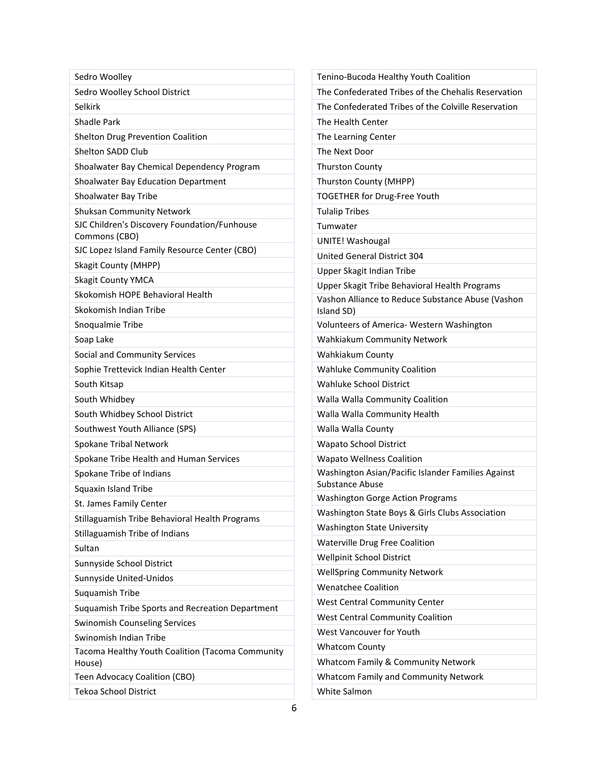| Sedro Woolley                                                 | Tenino-Bucoda Healthy Youth Coalition                                                              |
|---------------------------------------------------------------|----------------------------------------------------------------------------------------------------|
| Sedro Woolley School District                                 | The Confederated Tribes of the Chehalis Reservation                                                |
| Selkirk                                                       | The Confederated Tribes of the Colville Reservation                                                |
| <b>Shadle Park</b>                                            | The Health Center                                                                                  |
| Shelton Drug Prevention Coalition                             | The Learning Center                                                                                |
| Shelton SADD Club                                             | The Next Door                                                                                      |
| Shoalwater Bay Chemical Dependency Program                    | <b>Thurston County</b>                                                                             |
| Shoalwater Bay Education Department                           | Thurston County (MHPP)                                                                             |
| Shoalwater Bay Tribe                                          | TOGETHER for Drug-Free Youth                                                                       |
| <b>Shuksan Community Network</b>                              | <b>Tulalip Tribes</b>                                                                              |
| SJC Children's Discovery Foundation/Funhouse<br>Commons (CBO) | Tumwater<br>UNITE! Washougal                                                                       |
| SJC Lopez Island Family Resource Center (CBO)                 | United General District 304                                                                        |
| <b>Skagit County (MHPP)</b>                                   |                                                                                                    |
| <b>Skagit County YMCA</b>                                     | Upper Skagit Indian Tribe                                                                          |
| Skokomish HOPE Behavioral Health                              | Upper Skagit Tribe Behavioral Health Programs<br>Vashon Alliance to Reduce Substance Abuse (Vashon |
| Skokomish Indian Tribe                                        | Island SD)                                                                                         |
| Snoqualmie Tribe                                              | Volunteers of America- Western Washington                                                          |
| Soap Lake                                                     | Wahkiakum Community Network                                                                        |
| Social and Community Services                                 | Wahkiakum County                                                                                   |
| Sophie Trettevick Indian Health Center                        | <b>Wahluke Community Coalition</b>                                                                 |
| South Kitsap                                                  | Wahluke School District                                                                            |
| South Whidbey                                                 | Walla Walla Community Coalition                                                                    |
| South Whidbey School District                                 | Walla Walla Community Health                                                                       |
| Southwest Youth Alliance (SPS)                                | Walla Walla County                                                                                 |
| Spokane Tribal Network                                        | <b>Wapato School District</b>                                                                      |
| Spokane Tribe Health and Human Services                       | <b>Wapato Wellness Coalition</b>                                                                   |
| Spokane Tribe of Indians                                      | Washington Asian/Pacific Islander Families Against                                                 |
| Squaxin Island Tribe                                          | <b>Substance Abuse</b>                                                                             |
| St. James Family Center                                       | <b>Washington Gorge Action Programs</b>                                                            |
| Stillaguamish Tribe Behavioral Health Programs                | Washington State Boys & Girls Clubs Association                                                    |
| Stillaguamish Tribe of Indians                                | <b>Washington State University</b>                                                                 |
| Sultan                                                        | <b>Waterville Drug Free Coalition</b>                                                              |
| Sunnyside School District                                     | Wellpinit School District                                                                          |
| Sunnyside United-Unidos                                       | <b>WellSpring Community Network</b>                                                                |
| Suquamish Tribe                                               | <b>Wenatchee Coalition</b>                                                                         |
| Suquamish Tribe Sports and Recreation Department              | <b>West Central Community Center</b>                                                               |
| <b>Swinomish Counseling Services</b>                          | <b>West Central Community Coalition</b>                                                            |
| Swinomish Indian Tribe                                        | West Vancouver for Youth                                                                           |
| Tacoma Healthy Youth Coalition (Tacoma Community              | <b>Whatcom County</b>                                                                              |
| House)                                                        | <b>Whatcom Family &amp; Community Network</b>                                                      |
| Teen Advocacy Coalition (CBO)                                 | Whatcom Family and Community Network                                                               |
| Tekoa School District                                         | White Salmon                                                                                       |